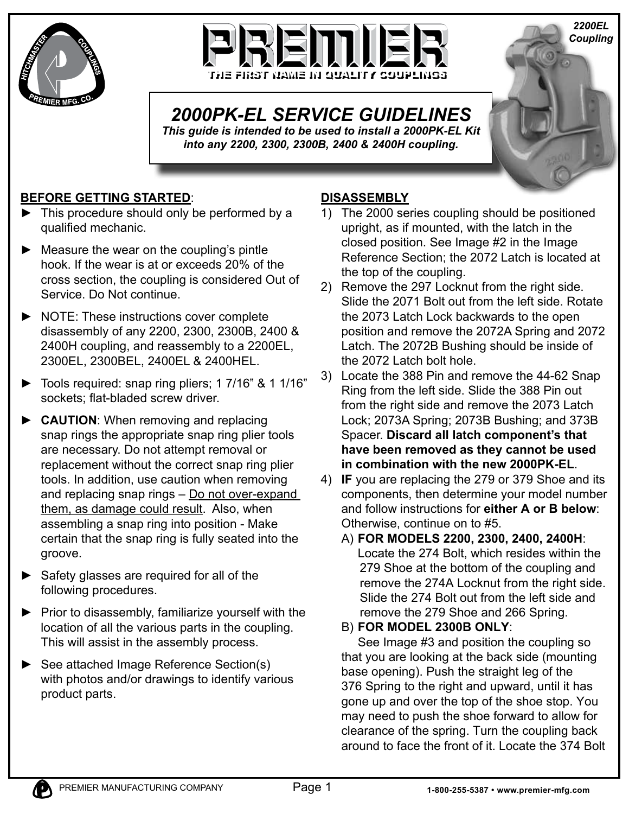



# *2000PK-EL SERVICE GUIDELINES*

*This guide is intended to be used to install a 2000PK-EL Kit into any 2200, 2300, 2300B, 2400 & 2400H coupling.* 

## **BEFORE GETTING STARTED**:

- This procedure should only be performed by a qualified mechanic.
- Measure the wear on the coupling's pintle hook. If the wear is at or exceeds 20% of the cross section, the coupling is considered Out of Service. Do Not continue.
- ▶ NOTE: These instructions cover complete disassembly of any 2200, 2300, 2300B, 2400 & 2400H coupling, and reassembly to a 2200EL, 2300EL, 2300BEL, 2400EL & 2400HEL.
- ► Tools required: snap ring pliers; 1 7/16" & 1 1/16" sockets; flat-bladed screw driver.
- **CAUTION:** When removing and replacing snap rings the appropriate snap ring plier tools are necessary. Do not attempt removal or replacement without the correct snap ring plier tools. In addition, use caution when removing and replacing snap rings – Do not over-expand them, as damage could result. Also, when assembling a snap ring into position - Make certain that the snap ring is fully seated into the groove.
- ► Safety glasses are required for all of the following procedures.
- $\blacktriangleright$  Prior to disassembly, familiarize yourself with the location of all the various parts in the coupling. This will assist in the assembly process.
- ► See attached Image Reference Section(s) with photos and/or drawings to identify various product parts.

## **DISASSEMBLY**

1) The 2000 series coupling should be positioned upright, as if mounted, with the latch in the closed position. See Image #2 in the Image Reference Section; the 2072 Latch is located at the top of the coupling.

*2200EL Coupling*

- 2) Remove the 297 Locknut from the right side. Slide the 2071 Bolt out from the left side. Rotate the 2073 Latch Lock backwards to the open position and remove the 2072A Spring and 2072 Latch. The 2072B Bushing should be inside of the 2072 Latch bolt hole.
- 3) Locate the 388 Pin and remove the 44-62 Snap Ring from the left side. Slide the 388 Pin out from the right side and remove the 2073 Latch Lock; 2073A Spring; 2073B Bushing; and 373B Spacer. **Discard all latch component's that have been removed as they cannot be used in combination with the new 2000PK-EL**.
- 4) **IF** you are replacing the 279 or 379 Shoe and its components, then determine your model number and follow instructions for **either A or B below**: Otherwise, continue on to #5.
	- A) **FOR MODELS 2200, 2300, 2400, 2400H**: Locate the 274 Bolt, which resides within the 279 Shoe at the bottom of the coupling and remove the 274A Locknut from the right side. Slide the 274 Bolt out from the left side and remove the 279 Shoe and 266 Spring.
	- B) **FOR MODEL 2300B ONLY**:

 See Image #3 and position the coupling so that you are looking at the back side (mounting base opening). Push the straight leg of the 376 Spring to the right and upward, until it has gone up and over the top of the shoe stop. You may need to push the shoe forward to allow for clearance of the spring. Turn the coupling back around to face the front of it. Locate the 374 Bolt

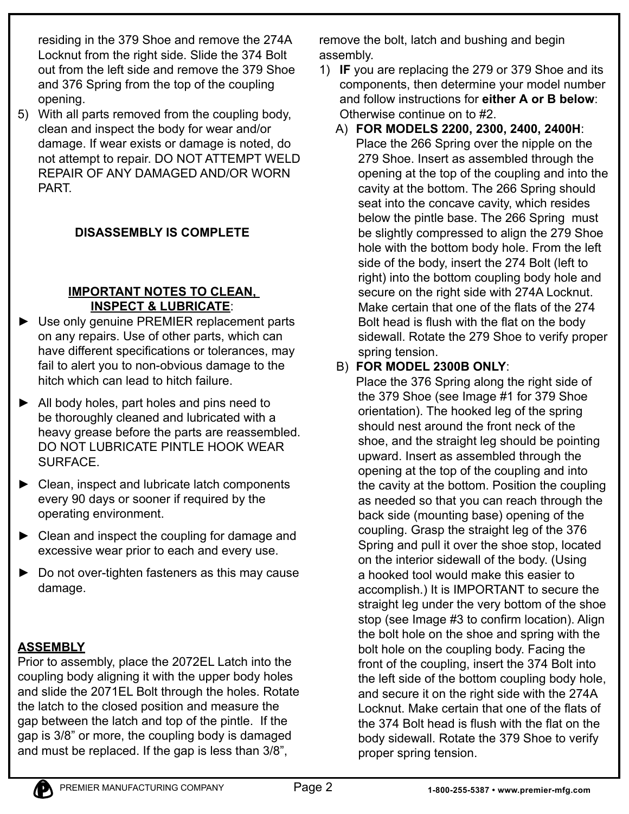residing in the 379 Shoe and remove the 274A Locknut from the right side. Slide the 374 Bolt out from the left side and remove the 379 Shoe and 376 Spring from the top of the coupling opening.

5) With all parts removed from the coupling body, clean and inspect the body for wear and/or damage. If wear exists or damage is noted, do not attempt to repair. DO NOT ATTEMPT WELD REPAIR OF ANY DAMAGED AND/OR WORN PART.

## **DISASSEMBLY IS COMPLETE**

### **IMPORTANT NOTES TO CLEAN, INSPECT & LUBRICATE**:

- ▶ Use only genuine PREMIER replacement parts on any repairs. Use of other parts, which can have different specifications or tolerances, may fail to alert you to non-obvious damage to the hitch which can lead to hitch failure.
- ► All body holes, part holes and pins need to be thoroughly cleaned and lubricated with a heavy grease before the parts are reassembled. DO NOT LUBRICATE PINTLE HOOK WEAR SURFACE.
- $\triangleright$  Clean, inspect and lubricate latch components every 90 days or sooner if required by the operating environment.
- $\triangleright$  Clean and inspect the coupling for damage and excessive wear prior to each and every use.
- $\triangleright$  Do not over-tighten fasteners as this may cause damage.

## **ASSEMBLY**

Prior to assembly, place the 2072EL Latch into the coupling body aligning it with the upper body holes and slide the 2071EL Bolt through the holes. Rotate the latch to the closed position and measure the gap between the latch and top of the pintle. If the gap is 3/8" or more, the coupling body is damaged and must be replaced. If the gap is less than 3/8",

remove the bolt, latch and bushing and begin assembly.

- 1) **IF** you are replacing the 279 or 379 Shoe and its components, then determine your model number and follow instructions for **either A or B below**: Otherwise continue on to #2.
	- A) **FOR MODELS 2200, 2300, 2400, 2400H**: Place the 266 Spring over the nipple on the
		- 279 Shoe. Insert as assembled through the opening at the top of the coupling and into the cavity at the bottom. The 266 Spring should seat into the concave cavity, which resides below the pintle base. The 266 Spring must be slightly compressed to align the 279 Shoe hole with the bottom body hole. From the left side of the body, insert the 274 Bolt (left to right) into the bottom coupling body hole and secure on the right side with 274A Locknut. Make certain that one of the flats of the 274 Bolt head is flush with the flat on the body sidewall. Rotate the 279 Shoe to verify proper spring tension.

## B) **FOR MODEL 2300B ONLY**:

 Place the 376 Spring along the right side of the 379 Shoe (see Image #1 for 379 Shoe orientation). The hooked leg of the spring should nest around the front neck of the shoe, and the straight leg should be pointing upward. Insert as assembled through the opening at the top of the coupling and into the cavity at the bottom. Position the coupling as needed so that you can reach through the back side (mounting base) opening of the coupling. Grasp the straight leg of the 376 Spring and pull it over the shoe stop, located on the interior sidewall of the body. (Using a hooked tool would make this easier to accomplish.) It is IMPORTANT to secure the straight leg under the very bottom of the shoe stop (see Image #3 to confirm location). Align the bolt hole on the shoe and spring with the bolt hole on the coupling body. Facing the front of the coupling, insert the 374 Bolt into the left side of the bottom coupling body hole, and secure it on the right side with the 274A Locknut. Make certain that one of the flats of the 374 Bolt head is flush with the flat on the body sidewall. Rotate the 379 Shoe to verify proper spring tension.

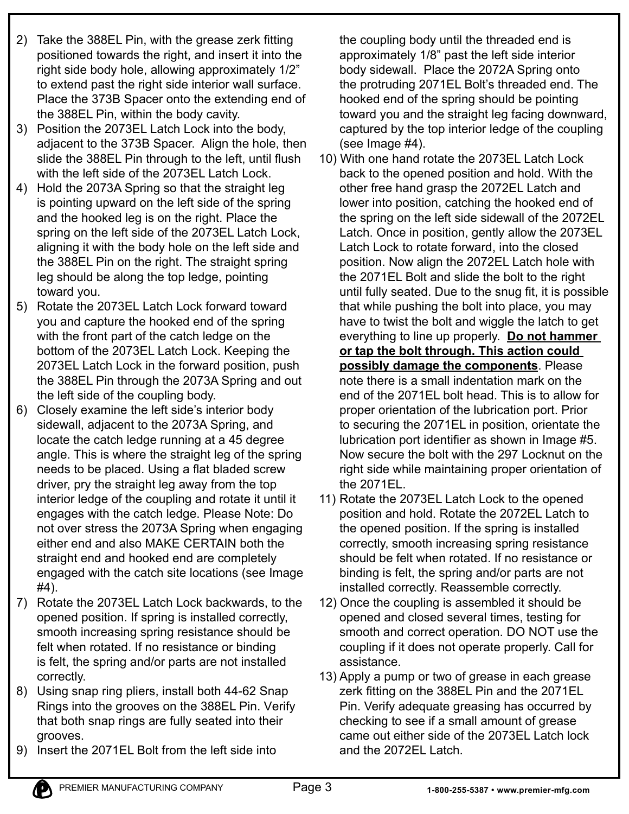- 2) Take the 388EL Pin, with the grease zerk fitting positioned towards the right, and insert it into the right side body hole, allowing approximately 1/2" to extend past the right side interior wall surface. Place the 373B Spacer onto the extending end of the 388EL Pin, within the body cavity.
- 3) Position the 2073EL Latch Lock into the body, adjacent to the 373B Spacer. Align the hole, then slide the 388EL Pin through to the left, until flush with the left side of the 2073EL Latch Lock.
- 4) Hold the 2073A Spring so that the straight leg is pointing upward on the left side of the spring and the hooked leg is on the right. Place the spring on the left side of the 2073EL Latch Lock, aligning it with the body hole on the left side and the 388EL Pin on the right. The straight spring leg should be along the top ledge, pointing toward you.
- 5) Rotate the 2073EL Latch Lock forward toward you and capture the hooked end of the spring with the front part of the catch ledge on the bottom of the 2073EL Latch Lock. Keeping the 2073EL Latch Lock in the forward position, push the 388EL Pin through the 2073A Spring and out the left side of the coupling body.
- 6) Closely examine the left side's interior body sidewall, adjacent to the 2073A Spring, and locate the catch ledge running at a 45 degree angle. This is where the straight leg of the spring needs to be placed. Using a flat bladed screw driver, pry the straight leg away from the top interior ledge of the coupling and rotate it until it engages with the catch ledge. Please Note: Do not over stress the 2073A Spring when engaging either end and also MAKE CERTAIN both the straight end and hooked end are completely engaged with the catch site locations (see Image #4).
- 7) Rotate the 2073EL Latch Lock backwards, to the opened position. If spring is installed correctly, smooth increasing spring resistance should be felt when rotated. If no resistance or binding is felt, the spring and/or parts are not installed correctly.
- 8) Using snap ring pliers, install both 44-62 Snap Rings into the grooves on the 388EL Pin. Verify that both snap rings are fully seated into their grooves.
- 9) Insert the 2071EL Bolt from the left side into

the coupling body until the threaded end is approximately 1/8" past the left side interior body sidewall. Place the 2072A Spring onto the protruding 2071EL Bolt's threaded end. The hooked end of the spring should be pointing toward you and the straight leg facing downward, captured by the top interior ledge of the coupling (see Image #4).

- 10) With one hand rotate the 2073EL Latch Lock back to the opened position and hold. With the other free hand grasp the 2072EL Latch and lower into position, catching the hooked end of the spring on the left side sidewall of the 2072EL Latch. Once in position, gently allow the 2073EL Latch Lock to rotate forward, into the closed position. Now align the 2072EL Latch hole with the 2071EL Bolt and slide the bolt to the right until fully seated. Due to the snug fit, it is possible that while pushing the bolt into place, you may have to twist the bolt and wiggle the latch to get everything to line up properly. **Do not hammer or tap the bolt through. This action could possibly damage the components**. Please note there is a small indentation mark on the end of the 2071EL bolt head. This is to allow for proper orientation of the lubrication port. Prior to securing the 2071EL in position, orientate the lubrication port identifier as shown in Image #5. Now secure the bolt with the 297 Locknut on the right side while maintaining proper orientation of the 2071EL.
- 11) Rotate the 2073EL Latch Lock to the opened position and hold. Rotate the 2072EL Latch to the opened position. If the spring is installed correctly, smooth increasing spring resistance should be felt when rotated. If no resistance or binding is felt, the spring and/or parts are not installed correctly. Reassemble correctly.
- 12) Once the coupling is assembled it should be opened and closed several times, testing for smooth and correct operation. DO NOT use the coupling if it does not operate properly. Call for assistance.
- 13) Apply a pump or two of grease in each grease zerk fitting on the 388EL Pin and the 2071EL Pin. Verify adequate greasing has occurred by checking to see if a small amount of grease came out either side of the 2073EL Latch lock and the 2072EL Latch.

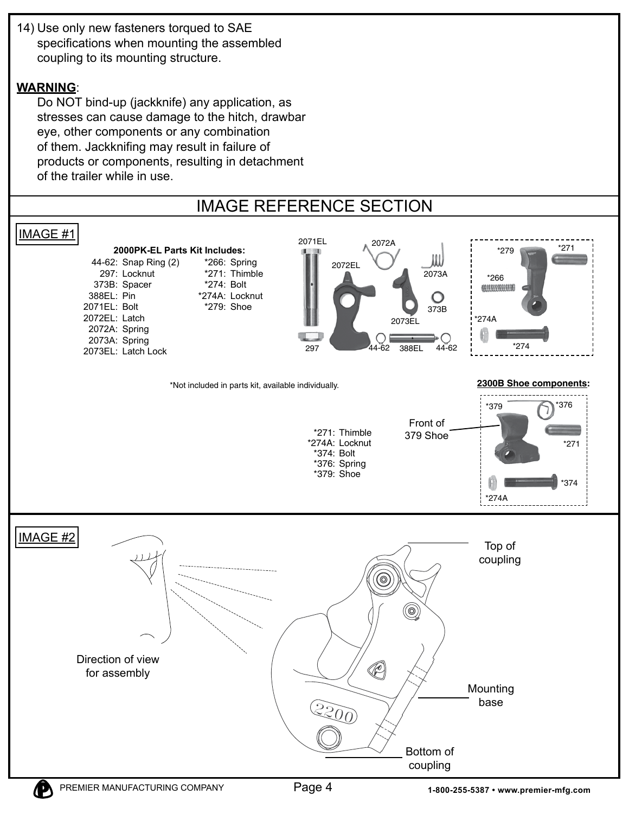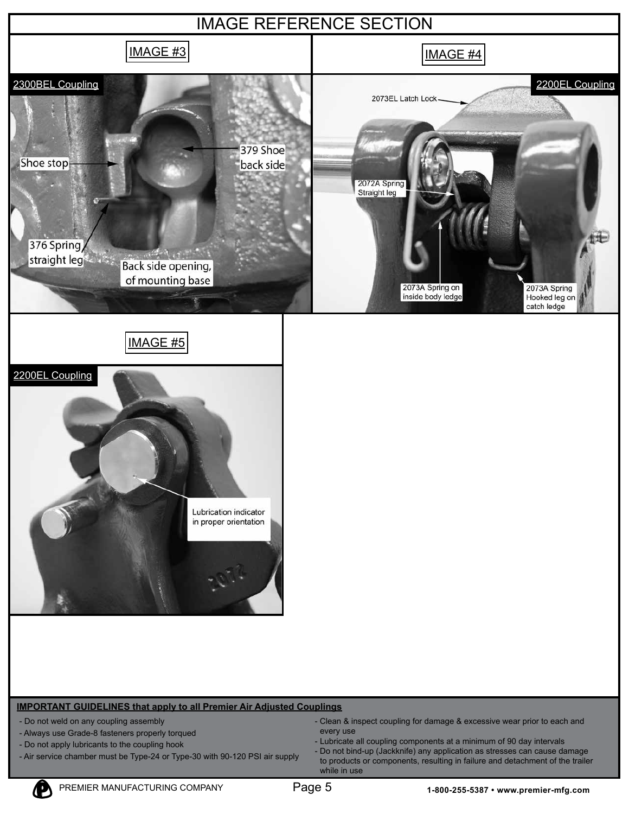



#### **IMPORTANT GUIDELINES that apply to all Premier Air Adjusted Couplings**

- Do not weld on any coupling assembly
- Always use Grade-8 fasteners properly torqued
- Do not apply lubricants to the coupling hook
- Air service chamber must be Type-24 or Type-30 with 90-120 PSI air supply
- Clean & inspect coupling for damage & excessive wear prior to each and every use
- Lubricate all coupling components at a minimum of 90 day intervals
- Do not bind-up (Jackknife) any application as stresses can cause damage to products or components, resulting in failure and detachment of the trailer while in use

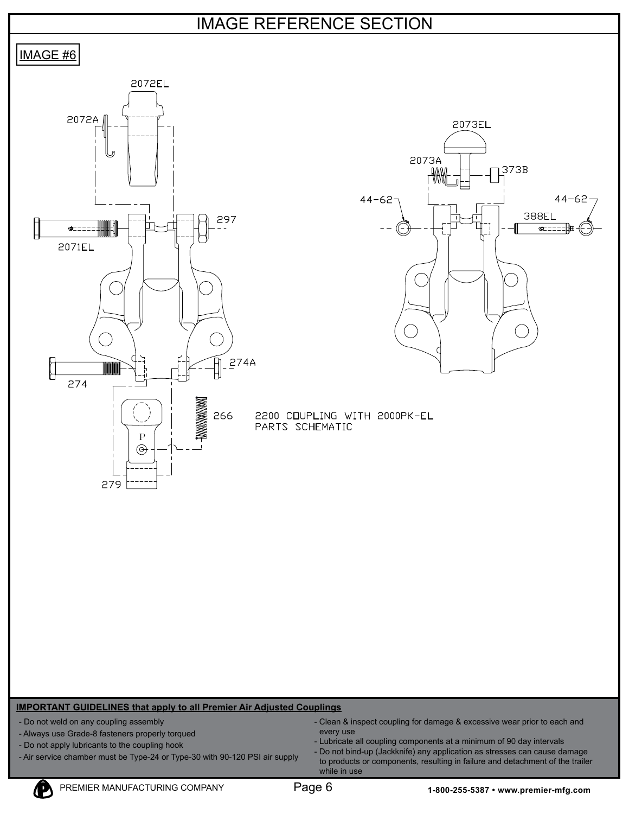## IMAGE REFERENCE SECTION



#### **IMPORTANT GUIDELINES that apply to all Premier Air Adjusted Couplings**

- Do not weld on any coupling assembly
- Always use Grade-8 fasteners properly torqued
- Do not apply lubricants to the coupling hook
- Air service chamber must be Type-24 or Type-30 with 90-120 PSI air supply
- Clean & inspect coupling for damage & excessive wear prior to each and every use
- Lubricate all coupling components at a minimum of 90 day intervals
- Do not bind-up (Jackknife) any application as stresses can cause damage to products or components, resulting in failure and detachment of the trailer while in use

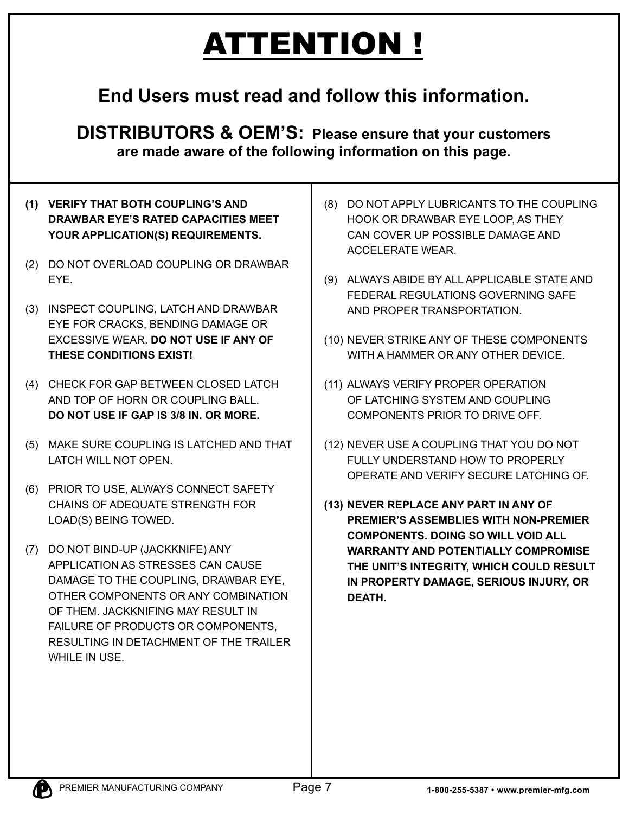# ATTENTION !

## **End Users must read and follow this information.**

**DISTRIBUTORS & OEM'S: Please ensure that your customers are made aware of the following information on this page.**

- **(1) VERIFY THAT BOTH COUPLING'S AND DRAWBAR EYE'S RATED CAPACITIES MEET YOUR APPLICATION(S) REQUIREMENTS.**
- (2) DO NOT OVERLOAD COUPLING OR DRAWBAR EYE.
- (3) INSPECT COUPLING, LATCH AND DRAWBAR EYE FOR CRACKS, BENDING DAMAGE OR EXCESSIVE WEAR. **DO NOT USE IF ANY OF THESE CONDITIONS EXIST!**
- (4) CHECK FOR GAP BETWEEN CLOSED LATCH AND TOP OF HORN OR COUPLING BALL. **DO NOT USE IF GAP IS 3/8 IN. OR MORE.**
- (5) MAKE SURE COUPLING IS LATCHED AND THAT LATCH WILL NOT OPEN.
- (6) PRIOR TO USE, ALWAYS CONNECT SAFETY CHAINS OF ADEQUATE STRENGTH FOR LOAD(S) BEING TOWED.
- (7) DO NOT BIND-UP (JACKKNIFE) ANY APPLICATION AS STRESSES CAN CAUSE DAMAGE TO THE COUPLING, DRAWBAR EYE, OTHER COMPONENTS OR ANY COMBINATION OF THEM. JACKKNIFING MAY RESULT IN FAILURE OF PRODUCTS OR COMPONENTS, RESULTING IN DETACHMENT OF THE TRAILER WHILE IN USE.
- (8) DO NOT APPLY LUBRICANTS TO THE COUPLING HOOK OR DRAWBAR EYE LOOP, AS THEY CAN COVER UP POSSIBLE DAMAGE AND ACCELERATE WEAR.
- (9) ALWAYS ABIDE BY ALL APPLICABLE STATE AND FEDERAL REGULATIONS GOVERNING SAFE AND PROPER TRANSPORTATION.
- (10) NEVER STRIKE ANY OF THESE COMPONENTS WITH A HAMMER OR ANY OTHER DEVICE.
- (11) ALWAYS VERIFY PROPER OPERATION OF LATCHING SYSTEM AND COUPLING COMPONENTS PRIOR TO DRIVE OFF.
- (12) NEVER USE A COUPLING THAT YOU DO NOT FULLY UNDERSTAND HOW TO PROPERLY OPERATE AND VERIFY SECURE LATCHING OF.
- **(13) NEVER REPLACE ANY PART IN ANY OF PREMIER'S ASSEMBLIES WITH NON-PREMIER COMPONENTS. DOING SO WILL VOID ALL WARRANTY AND POTENTIALLY COMPROMISE THE UNIT'S INTEGRITY, WHICH COULD RESULT IN PROPERTY DAMAGE, SERIOUS INJURY, OR DEATH.**